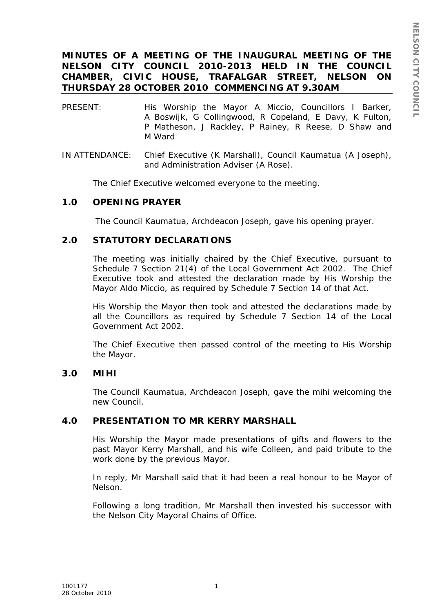## **MINUTES OF A MEETING OF THE INAUGURAL MEETING OF THE NELSON CITY COUNCIL 2010-2013 HELD IN THE COUNCIL CHAMBER, CIVIC HOUSE, TRAFALGAR STREET, NELSON ON THURSDAY 28 OCTOBER 2010 COMMENCING AT 9.30AM**

- PRESENT: His Worship the Mayor A Miccio, Councillors I Barker, A Boswijk, G Collingwood, R Copeland, E Davy, K Fulton, P Matheson, J Rackley, P Rainey, R Reese, D Shaw and M Ward
- IN ATTENDANCE: Chief Executive (K Marshall), Council Kaumatua (A Joseph), and Administration Adviser (A Rose).

The Chief Executive welcomed everyone to the meeting.

### **1.0 OPENING PRAYER**

The Council Kaumatua, Archdeacon Joseph, gave his opening prayer.

### **2.0 STATUTORY DECLARATIONS**

The meeting was initially chaired by the Chief Executive, pursuant to Schedule 7 Section 21(4) of the Local Government Act 2002. The Chief Executive took and attested the declaration made by His Worship the Mayor Aldo Miccio, as required by Schedule 7 Section 14 of that Act.

His Worship the Mayor then took and attested the declarations made by all the Councillors as required by Schedule 7 Section 14 of the Local Government Act 2002.

The Chief Executive then passed control of the meeting to His Worship the Mayor.

#### **3.0 MIHI**

The Council Kaumatua, Archdeacon Joseph, gave the mihi welcoming the new Council.

### **4.0 PRESENTATION TO MR KERRY MARSHALL**

His Worship the Mayor made presentations of gifts and flowers to the past Mayor Kerry Marshall, and his wife Colleen, and paid tribute to the work done by the previous Mayor.

In reply, Mr Marshall said that it had been a real honour to be Mayor of Nelson.

Following a long tradition, Mr Marshall then invested his successor with the Nelson City Mayoral Chains of Office.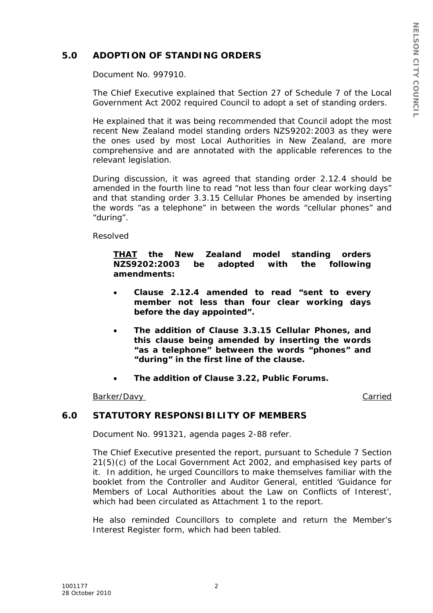# **5.0 ADOPTION OF STANDING ORDERS**

Document No. 997910.

The Chief Executive explained that Section 27 of Schedule 7 of the Local Government Act 2002 required Council to adopt a set of standing orders.

He explained that it was being recommended that Council adopt the most recent New Zealand model standing orders NZS9202:2003 as they were the ones used by most Local Authorities in New Zealand, are more comprehensive and are annotated with the applicable references to the relevant legislation.

During discussion, it was agreed that standing order 2.12.4 should be amended in the fourth line to read "not less than four clear working days" and that standing order 3.3.15 Cellular Phones be amended by inserting the words "as a telephone" in between the words "cellular phones" and "during".

Resolved

*THAT the New Zealand model standing orders NZS9202:2003 be adopted with the following amendments:* 

- *Clause 2.12.4 amended to read "sent to every member not less than four clear working days before the day appointed".*
- *The addition of Clause 3.3.15 Cellular Phones, and this clause being amended by inserting the words "as a telephone" between the words "phones" and "during" in the first line of the clause.*
- *The addition of Clause 3.22, Public Forums.*

#### Barker/Davy Carried Carried Carried Carried Carried Carried Carried Carried Carried Carried Carried Carried Carried Carried Carried Carried Carried Carried Carried Carried Carried Carried Carried Carried Carried Carried Ca

### **6.0 STATUTORY RESPONSIBILITY OF MEMBERS**

Document No. 991321, agenda pages 2-88 refer.

The Chief Executive presented the report, pursuant to Schedule 7 Section 21(5)(c) of the Local Government Act 2002, and emphasised key parts of it. In addition, he urged Councillors to make themselves familiar with the booklet from the Controller and Auditor General, entitled 'Guidance for Members of Local Authorities about the Law on Conflicts of Interest', which had been circulated as Attachment 1 to the report.

He also reminded Councillors to complete and return the Member's Interest Register form, which had been tabled.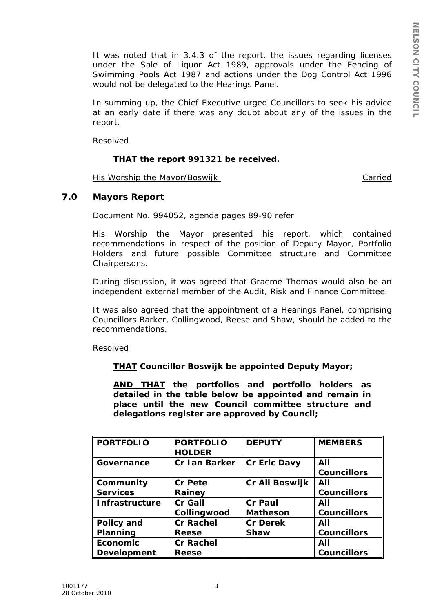It was noted that in 3.4.3 of the report, the issues regarding licenses under the Sale of Liquor Act 1989, approvals under the Fencing of Swimming Pools Act 1987 and actions under the Dog Control Act 1996 would not be delegated to the Hearings Panel.

In summing up, the Chief Executive urged Councillors to seek his advice at an early date if there was any doubt about any of the issues in the report.

Resolved

### *THAT the report 991321 be received.*

His Worship the Mayor/Boswijk Carried

## **7.0 Mayors Report**

Document No. 994052, agenda pages 89-90 refer

His Worship the Mayor presented his report, which contained recommendations in respect of the position of Deputy Mayor, Portfolio Holders and future possible Committee structure and Committee Chairpersons.

During discussion, it was agreed that Graeme Thomas would also be an independent external member of the Audit, Risk and Finance Committee.

It was also agreed that the appointment of a Hearings Panel, comprising Councillors Barker, Collingwood, Reese and Shaw, should be added to the recommendations.

Resolved

*THAT Councillor Boswijk be appointed Deputy Mayor;* 

*AND THAT the portfolios and portfolio holders as detailed in the table below be appointed and remain in place until the new Council committee structure and delegations register are approved by Council;* 

| <b>PORTFOLIO</b>      | <b>PORTFOLIO</b><br><b>HOLDER</b> | <b>DEPUTY</b>   | <b>MEMBERS</b>     |
|-----------------------|-----------------------------------|-----------------|--------------------|
| Governance            | Cr Ian Barker                     | Cr Eric Davy    | All                |
|                       |                                   |                 | <b>Councillors</b> |
| Community             | Cr Pete                           | Cr Ali Boswijk  | All                |
| <b>Services</b>       | Rainey                            |                 | <b>Councillors</b> |
| <b>Infrastructure</b> | Cr Gail                           | Cr Paul         | All                |
|                       | Collingwood                       | <b>Matheson</b> | <b>Councillors</b> |
| <b>Policy and</b>     | <b>Cr Rachel</b>                  | <b>Cr Derek</b> | All                |
| Planning              | Reese                             | Shaw            | <b>Councillors</b> |
| <b>Economic</b>       | <b>Cr Rachel</b>                  |                 | All                |
| <b>Development</b>    | Reese                             |                 | <b>Councillors</b> |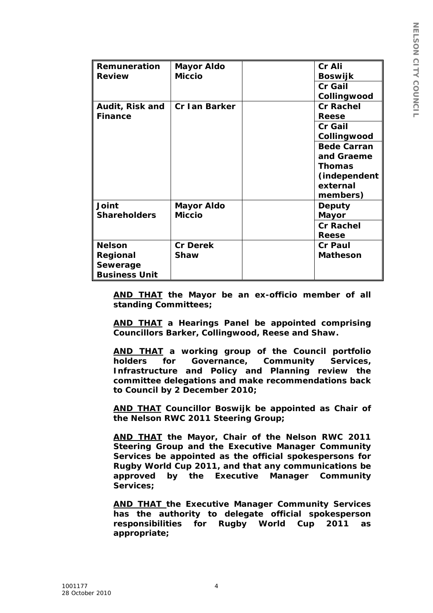| <b>Remuneration</b><br><b>Review</b> | Mayor Aldo<br><b>Miccio</b> |  | Cr Ali             |
|--------------------------------------|-----------------------------|--|--------------------|
|                                      |                             |  | Boswijk            |
|                                      |                             |  | Cr Gail            |
|                                      |                             |  | Collingwood        |
| Audit, Risk and<br><b>Finance</b>    | Cr Ian Barker               |  | <b>Cr Rachel</b>   |
|                                      |                             |  | Reese              |
|                                      |                             |  | Cr Gail            |
|                                      |                             |  | Collingwood        |
|                                      |                             |  | <b>Bede Carran</b> |
|                                      |                             |  | and Graeme         |
|                                      |                             |  | Thomas             |
|                                      |                             |  | (independent       |
|                                      |                             |  | external           |
|                                      |                             |  | members)           |
| Joint                                | Mayor Aldo                  |  | Deputy             |
| <b>Shareholders</b>                  | <b>Miccio</b>               |  | Mayor              |
|                                      |                             |  | Cr Rachel          |
|                                      |                             |  | Reese              |
| <b>Nelson</b>                        | Cr Derek                    |  | Cr Paul            |
| Regional                             | Shaw                        |  | <b>Matheson</b>    |
| Sewerage                             |                             |  |                    |
| <b>Business Unit</b>                 |                             |  |                    |

*AND THAT the Mayor be an ex-officio member of all standing Committees;* 

*AND THAT a Hearings Panel be appointed comprising Councillors Barker, Collingwood, Reese and Shaw.* 

*AND THAT a working group of the Council portfolio holders for Governance, Community Services, Infrastructure and Policy and Planning review the committee delegations and make recommendations back to Council by 2 December 2010;* 

*AND THAT Councillor Boswijk be appointed as Chair of the Nelson RWC 2011 Steering Group;* 

*AND THAT the Mayor, Chair of the Nelson RWC 2011 Steering Group and the Executive Manager Community Services be appointed as the official spokespersons for Rugby World Cup 2011, and that any communications be approved by the Executive Manager Community Services;* 

*AND THAT the Executive Manager Community Services has the authority to delegate official spokesperson responsibilities for Rugby World Cup 2011 as appropriate;*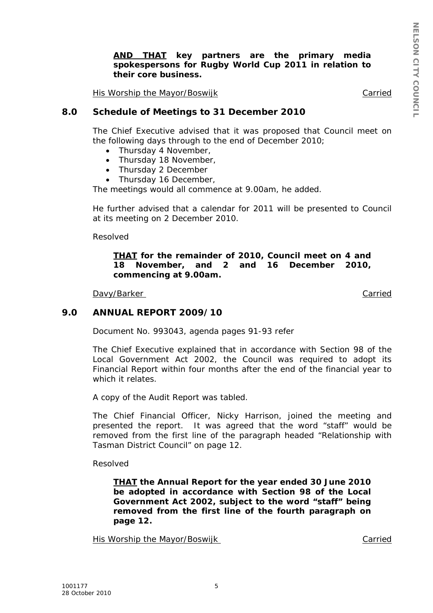### *AND THAT key partners are the primary media spokespersons for Rugby World Cup 2011 in relation to their core business.*

His Worship the Mayor/Boswijk Carried

### **8.0 Schedule of Meetings to 31 December 2010**

The Chief Executive advised that it was proposed that Council meet on the following days through to the end of December 2010;

- Thursday 4 November,
- Thursday 18 November,
- Thursday 2 December
- Thursday 16 December,

The meetings would all commence at 9.00am, he added.

He further advised that a calendar for 2011 will be presented to Council at its meeting on 2 December 2010.

Resolved

#### *THAT for the remainder of 2010, Council meet on 4 and 18 November, and 2 and 16 December 2010, commencing at 9.00am.*

Davy/Barker Carried Carried Carried Carried Carried Carried Carried Carried Carried Carried Carried Carried Carried Carried Carried Carried Carried Carried Carried Carried Carried Carried Carried Carried Carried Carried Ca

#### **9.0 ANNUAL REPORT 2009/10**

Document No. 993043, agenda pages 91-93 refer

The Chief Executive explained that in accordance with Section 98 of the Local Government Act 2002, the Council was required to adopt its Financial Report within four months after the end of the financial year to which it relates.

A copy of the Audit Report was tabled.

The Chief Financial Officer, Nicky Harrison, joined the meeting and presented the report. It was agreed that the word "staff" would be removed from the first line of the paragraph headed "Relationship with Tasman District Council" on page 12.

Resolved

*THAT the Annual Report for the year ended 30 June 2010 be adopted in accordance with Section 98 of the Local Government Act 2002, subject to the word "staff" being removed from the first line of the fourth paragraph on page 12.* 

His Worship the Mayor/Boswijk Carried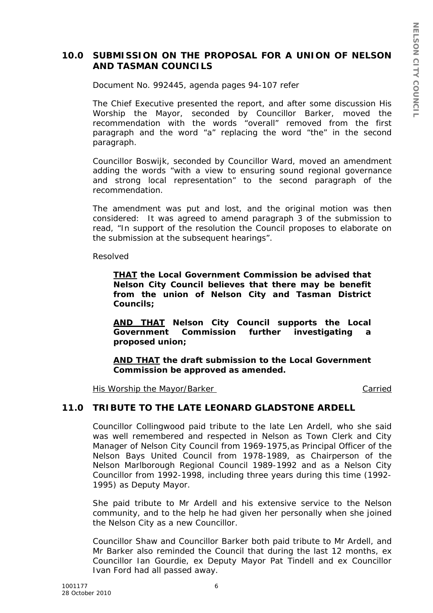## **10.0 SUBMISSION ON THE PROPOSAL FOR A UNION OF NELSON AND TASMAN COUNCILS**

Document No. 992445, agenda pages 94-107 refer

The Chief Executive presented the report, and after some discussion His Worship the Mayor, seconded by Councillor Barker, moved the recommendation with the words "overall" removed from the first paragraph and the word "a" replacing the word "the" in the second paragraph.

Councillor Boswijk, seconded by Councillor Ward, moved an amendment adding the words "with a view to ensuring sound regional governance and strong local representation" to the second paragraph of the recommendation.

The amendment was put and lost, and the original motion was then considered: It was agreed to amend paragraph 3 of the submission to read, "In support of the resolution the Council proposes to elaborate on the submission at the subsequent hearings".

Resolved

*THAT the Local Government Commission be advised that Nelson City Council believes that there may be benefit from the union of Nelson City and Tasman District Councils;* 

*AND THAT Nelson City Council supports the Local Government Commission further investigating a proposed union;* 

*AND THAT the draft submission to the Local Government Commission be approved as amended.* 

His Worship the Mayor/Barker Carried

## **11.0 TRIBUTE TO THE LATE LEONARD GLADSTONE ARDELL**

Councillor Collingwood paid tribute to the late Len Ardell, who she said was well remembered and respected in Nelson as Town Clerk and City Manager of Nelson City Council from 1969-1975,as Principal Officer of the Nelson Bays United Council from 1978-1989, as Chairperson of the Nelson Marlborough Regional Council 1989-1992 and as a Nelson City Councillor from 1992-1998, including three years during this time (1992- 1995) as Deputy Mayor.

She paid tribute to Mr Ardell and his extensive service to the Nelson community, and to the help he had given her personally when she joined the Nelson City as a new Councillor.

Councillor Shaw and Councillor Barker both paid tribute to Mr Ardell, and Mr Barker also reminded the Council that during the last 12 months, ex Councillor Ian Gourdie, ex Deputy Mayor Pat Tindell and ex Councillor Ivan Ford had all passed away.